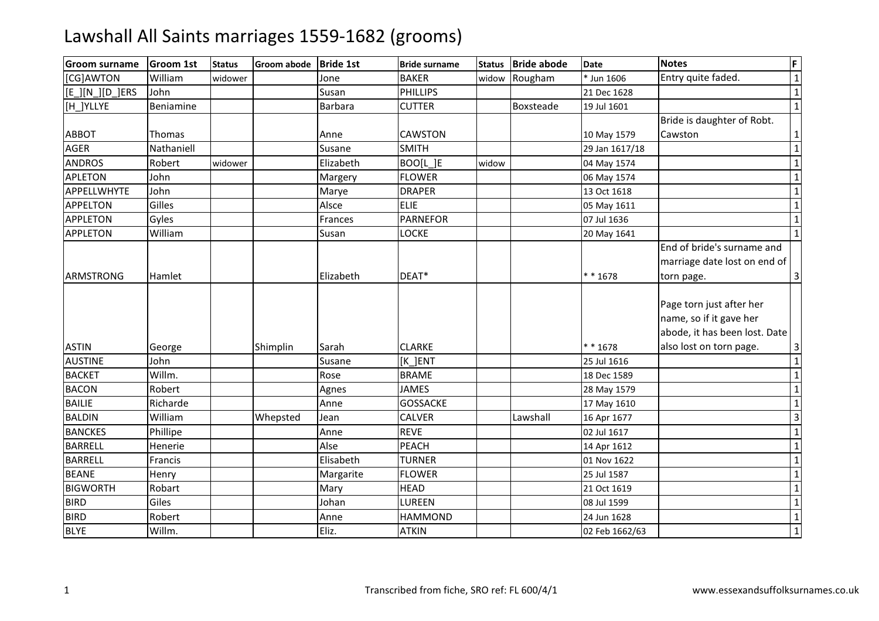| <b>Groom surname</b> | <b>Groom 1st</b> | <b>Status</b> | Groom abode | <b>Bride 1st</b> | <b>Bride surname</b> | Status | <b>Bride abode</b> | <b>Date</b>    | <b>Notes</b>                                                                                                    | F              |
|----------------------|------------------|---------------|-------------|------------------|----------------------|--------|--------------------|----------------|-----------------------------------------------------------------------------------------------------------------|----------------|
| [CG]AWTON            | William          | widower       |             | Jone             | <b>BAKER</b>         | widow  | Rougham            | * Jun 1606     | Entry quite faded.                                                                                              | $\mathbf{1}$   |
| [[E_][N_][D_]ERS     | John             |               |             | Susan            | <b>PHILLIPS</b>      |        |                    | 21 Dec 1628    |                                                                                                                 | $\overline{1}$ |
| [H ]YLLYE            | Beniamine        |               |             | <b>Barbara</b>   | <b>CUTTER</b>        |        | Boxsteade          | 19 Jul 1601    |                                                                                                                 | $\mathbf 1$    |
|                      |                  |               |             |                  |                      |        |                    |                | Bride is daughter of Robt.                                                                                      |                |
| <b>ABBOT</b>         | Thomas           |               |             | Anne             | <b>CAWSTON</b>       |        |                    | 10 May 1579    | Cawston                                                                                                         | $\mathbf{1}$   |
| <b>AGER</b>          | Nathaniell       |               |             | Susane           | <b>SMITH</b>         |        |                    | 29 Jan 1617/18 |                                                                                                                 | $\mathbf 1$    |
| <b>ANDROS</b>        | Robert           | widower       |             | Elizabeth        | BOO[L]E              | widow  |                    | 04 May 1574    |                                                                                                                 | $\overline{1}$ |
| <b>APLETON</b>       | John             |               |             | Margery          | <b>FLOWER</b>        |        |                    | 06 May 1574    |                                                                                                                 | $\mathbf{1}$   |
| APPELLWHYTE          | John             |               |             | Marye            | <b>DRAPER</b>        |        |                    | 13 Oct 1618    |                                                                                                                 | $\overline{1}$ |
| <b>APPELTON</b>      | Gilles           |               |             | Alsce            | <b>ELIE</b>          |        |                    | 05 May 1611    |                                                                                                                 | $\overline{1}$ |
| <b>APPLETON</b>      | Gyles            |               |             | Frances          | <b>PARNEFOR</b>      |        |                    | 07 Jul 1636    |                                                                                                                 | $\mathbf 1$    |
| <b>APPLETON</b>      | William          |               |             | Susan            | <b>LOCKE</b>         |        |                    | 20 May 1641    |                                                                                                                 | $\mathbf{1}$   |
| <b>ARMSTRONG</b>     | Hamlet           |               |             | Elizabeth        | DEAT*                |        |                    | ** 1678        | End of bride's surname and<br>marriage date lost on end of<br>torn page.                                        | 3              |
| <b>ASTIN</b>         | George           |               | Shimplin    | Sarah            | <b>CLARKE</b>        |        |                    | $* * 1678$     | Page torn just after her<br>name, so if it gave her<br>abode, it has been lost. Date<br>also lost on torn page. | 3              |
| <b>AUSTINE</b>       | John             |               |             | Susane           | [K ]ENT              |        |                    | 25 Jul 1616    |                                                                                                                 | $\overline{1}$ |
| <b>BACKET</b>        | Willm.           |               |             | Rose             | <b>BRAME</b>         |        |                    | 18 Dec 1589    |                                                                                                                 | $\mathbf{1}$   |
| <b>BACON</b>         | Robert           |               |             | Agnes            | <b>JAMES</b>         |        |                    | 28 May 1579    |                                                                                                                 | $\overline{1}$ |
| <b>BAILIE</b>        | Richarde         |               |             | Anne             | <b>GOSSACKE</b>      |        |                    | 17 May 1610    |                                                                                                                 | $\overline{1}$ |
| <b>BALDIN</b>        | William          |               | Whepsted    | Jean             | <b>CALVER</b>        |        | Lawshall           | 16 Apr 1677    |                                                                                                                 | $\overline{3}$ |
| <b>BANCKES</b>       | Phillipe         |               |             | Anne             | <b>REVE</b>          |        |                    | 02 Jul 1617    |                                                                                                                 | $\overline{1}$ |
| <b>BARRELL</b>       | Henerie          |               |             | Alse             | <b>PEACH</b>         |        |                    | 14 Apr 1612    |                                                                                                                 | $\mathbf{1}$   |
| <b>BARRELL</b>       | Francis          |               |             | Elisabeth        | <b>TURNER</b>        |        |                    | 01 Nov 1622    |                                                                                                                 | $\mathbf 1$    |
| <b>BEANE</b>         | Henry            |               |             | Margarite        | <b>FLOWER</b>        |        |                    | 25 Jul 1587    |                                                                                                                 | $\overline{1}$ |
| <b>BIGWORTH</b>      | Robart           |               |             | Mary             | <b>HEAD</b>          |        |                    | 21 Oct 1619    |                                                                                                                 | $\overline{1}$ |
| <b>BIRD</b>          | Giles            |               |             | Johan            | LUREEN               |        |                    | 08 Jul 1599    |                                                                                                                 | $\overline{1}$ |
| <b>BIRD</b>          | Robert           |               |             | Anne             | <b>HAMMOND</b>       |        |                    | 24 Jun 1628    |                                                                                                                 | $\overline{1}$ |
| <b>BLYE</b>          | Willm.           |               |             | Eliz.            | <b>ATKIN</b>         |        |                    | 02 Feb 1662/63 |                                                                                                                 | $\mathbf 1$    |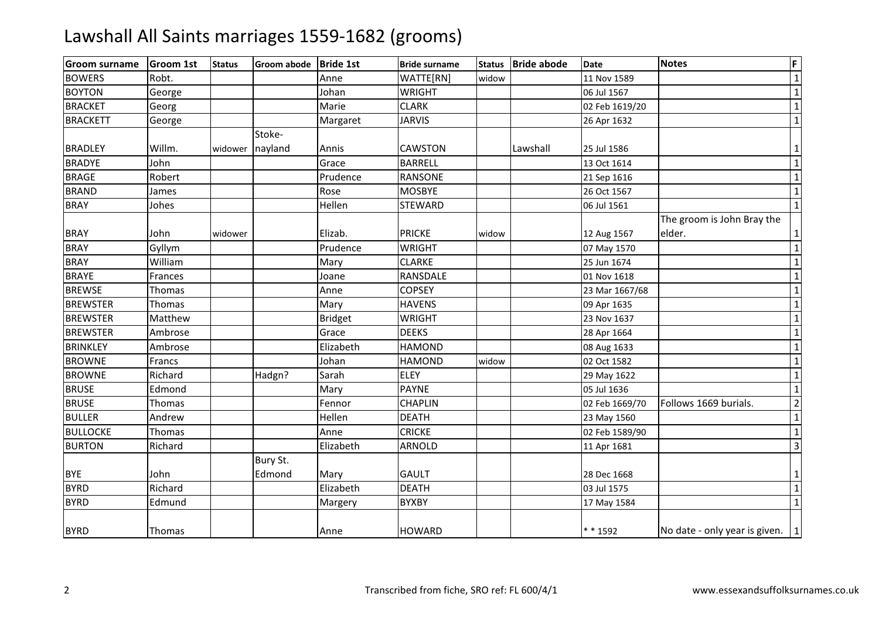| <b>Groom surname</b> | <b>Groom 1st</b> | <b>Status</b> | <b>Groom abode</b> | <b>Bride 1st</b> | <b>Bride surname</b> | <b>Status</b> | <b>Bride abode</b> | <b>Date</b>    | <b>Notes</b>                        | F                       |
|----------------------|------------------|---------------|--------------------|------------------|----------------------|---------------|--------------------|----------------|-------------------------------------|-------------------------|
| <b>BOWERS</b>        | Robt.            |               |                    | Anne             | WATTE[RN]            | widow         |                    | 11 Nov 1589    |                                     | $\overline{\mathbf{1}}$ |
| <b>BOYTON</b>        | George           |               |                    | Johan            | <b>WRIGHT</b>        |               |                    | 06 Jul 1567    |                                     | $\overline{1}$          |
| <b>BRACKET</b>       | Georg            |               |                    | Marie            | <b>CLARK</b>         |               |                    | 02 Feb 1619/20 |                                     | $1\vert$                |
| <b>BRACKETT</b>      | George           |               |                    | Margaret         | <b>JARVIS</b>        |               |                    | 26 Apr 1632    |                                     | $\mathbf 1$             |
|                      |                  |               | Stoke-             |                  |                      |               |                    |                |                                     |                         |
| <b>BRADLEY</b>       | Willm.           | widower       | nayland            | Annis            | <b>CAWSTON</b>       |               | Lawshall           | 25 Jul 1586    |                                     | $1\vert$                |
| <b>BRADYE</b>        | John             |               |                    | Grace            | <b>BARRELL</b>       |               |                    | 13 Oct 1614    |                                     | $\overline{1}$          |
| <b>BRAGE</b>         | Robert           |               |                    | Prudence         | <b>RANSONE</b>       |               |                    | 21 Sep 1616    |                                     | $1\vert$                |
| <b>BRAND</b>         | James            |               |                    | Rose             | <b>MOSBYE</b>        |               |                    | 26 Oct 1567    |                                     | $\overline{1}$          |
| <b>BRAY</b>          | Johes            |               |                    | Hellen           | STEWARD              |               |                    | 06 Jul 1561    |                                     | $\mathbf 1$             |
|                      |                  |               |                    |                  |                      |               |                    |                | The groom is John Bray the          |                         |
| <b>BRAY</b>          | John             | widower       |                    | Elizab.          | <b>PRICKE</b>        | widow         |                    | 12 Aug 1567    | elder.                              | 1                       |
| <b>BRAY</b>          | Gyllym           |               |                    | Prudence         | <b>WRIGHT</b>        |               |                    | 07 May 1570    |                                     | $\mathbf 1$             |
| <b>BRAY</b>          | William          |               |                    | Mary             | <b>CLARKE</b>        |               |                    | 25 Jun 1674    |                                     | $\mathbf 1$             |
| <b>BRAYE</b>         | Frances          |               |                    | Joane            | RANSDALE             |               |                    | 01 Nov 1618    |                                     | $\mathbf 1$             |
| <b>BREWSE</b>        | Thomas           |               |                    | Anne             | <b>COPSEY</b>        |               |                    | 23 Mar 1667/68 |                                     | $\mathbf 1$             |
| <b>BREWSTER</b>      | Thomas           |               |                    | Mary             | <b>HAVENS</b>        |               |                    | 09 Apr 1635    |                                     | $\mathbf{1}$            |
| <b>BREWSTER</b>      | Matthew          |               |                    | <b>Bridget</b>   | <b>WRIGHT</b>        |               |                    | 23 Nov 1637    |                                     | $\overline{1}$          |
| <b>BREWSTER</b>      | Ambrose          |               |                    | Grace            | <b>DEEKS</b>         |               |                    | 28 Apr 1664    |                                     | $\mathbf 1$             |
| <b>BRINKLEY</b>      | Ambrose          |               |                    | Elizabeth        | <b>HAMOND</b>        |               |                    | 08 Aug 1633    |                                     | $\overline{1}$          |
| <b>BROWNE</b>        | Francs           |               |                    | Johan            | <b>HAMOND</b>        | widow         |                    | 02 Oct 1582    |                                     | $\overline{1}$          |
| <b>BROWNE</b>        | Richard          |               | Hadgn?             | Sarah            | <b>ELEY</b>          |               |                    | 29 May 1622    |                                     | $1\vert$                |
| <b>BRUSE</b>         | Edmond           |               |                    | Mary             | <b>PAYNE</b>         |               |                    | 05 Jul 1636    |                                     | $1\vert$                |
| <b>BRUSE</b>         | Thomas           |               |                    | Fennor           | <b>CHAPLIN</b>       |               |                    | 02 Feb 1669/70 | Follows 1669 burials.               | $\overline{2}$          |
| <b>BULLER</b>        | Andrew           |               |                    | Hellen           | <b>DEATH</b>         |               |                    | 23 May 1560    |                                     | $\mathbf{1}$            |
| <b>BULLOCKE</b>      | Thomas           |               |                    | Anne             | <b>CRICKE</b>        |               |                    | 02 Feb 1589/90 |                                     | $\mathbf 1$             |
| <b>BURTON</b>        | Richard          |               |                    | Elizabeth        | <b>ARNOLD</b>        |               |                    | 11 Apr 1681    |                                     | $\overline{3}$          |
|                      |                  |               | Bury St.           |                  |                      |               |                    |                |                                     |                         |
| <b>BYE</b>           | John             |               | Edmond             | Mary             | <b>GAULT</b>         |               |                    | 28 Dec 1668    |                                     | $1\vert$                |
| <b>BYRD</b>          | Richard          |               |                    | Elizabeth        | <b>DEATH</b>         |               |                    | 03 Jul 1575    |                                     | $1\vert$                |
| <b>BYRD</b>          | Edmund           |               |                    | Margery          | <b>BYXBY</b>         |               |                    | 17 May 1584    |                                     | $\overline{1}$          |
| <b>BYRD</b>          | Thomas           |               |                    | Anne             | <b>HOWARD</b>        |               |                    | * * 1592       | No date - only year is given. $ 1 $ |                         |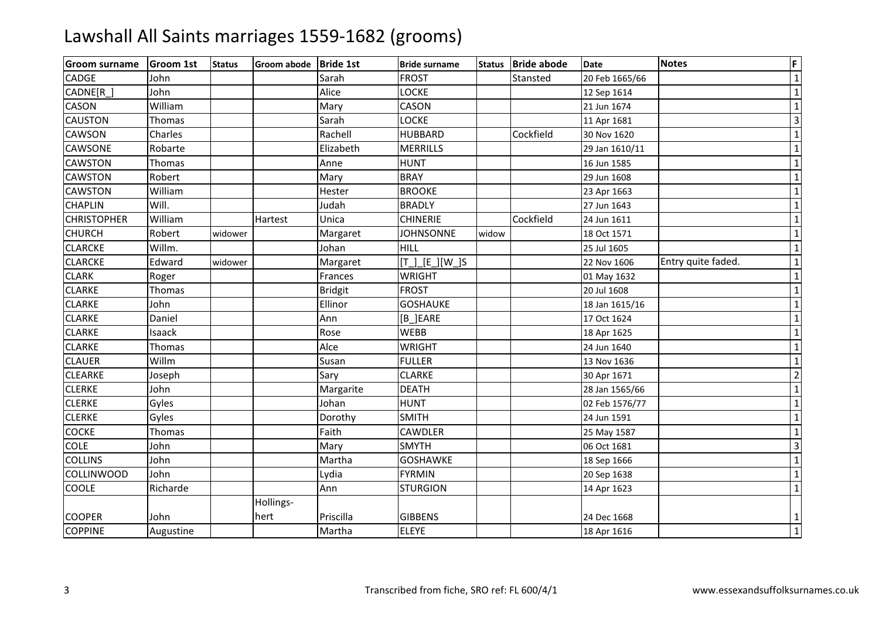| <b>Groom surname</b> | <b>Groom 1st</b> | <b>Status</b> | Groom abode Bride 1st |                | <b>Bride surname</b> | <b>Status</b> | <b>Bride abode</b> | <b>Date</b>    | <b>Notes</b>       | F                       |
|----------------------|------------------|---------------|-----------------------|----------------|----------------------|---------------|--------------------|----------------|--------------------|-------------------------|
| <b>CADGE</b>         | John             |               |                       | Sarah          | <b>FROST</b>         |               | Stansted           | 20 Feb 1665/66 |                    | $\overline{1}$          |
| CADNE[R_]            | John             |               |                       | Alice          | <b>LOCKE</b>         |               |                    | 12 Sep 1614    |                    | $\mathbf{1}$            |
| <b>CASON</b>         | William          |               |                       | Mary           | CASON                |               |                    | 21 Jun 1674    |                    | $\mathbf{1}$            |
| <b>CAUSTON</b>       | Thomas           |               |                       | Sarah          | LOCKE                |               |                    | 11 Apr 1681    |                    | $\overline{\mathbf{3}}$ |
| <b>CAWSON</b>        | Charles          |               |                       | Rachell        | <b>HUBBARD</b>       |               | Cockfield          | 30 Nov 1620    |                    | $\mathbf{1}$            |
| <b>CAWSONE</b>       | Robarte          |               |                       | Elizabeth      | <b>MERRILLS</b>      |               |                    | 29 Jan 1610/11 |                    | $\mathbf{1}$            |
| <b>CAWSTON</b>       | Thomas           |               |                       | Anne           | <b>HUNT</b>          |               |                    | 16 Jun 1585    |                    | $\overline{1}$          |
| <b>CAWSTON</b>       | Robert           |               |                       | Mary           | <b>BRAY</b>          |               |                    | 29 Jun 1608    |                    | $\mathbf 1$             |
| <b>CAWSTON</b>       | William          |               |                       | Hester         | <b>BROOKE</b>        |               |                    | 23 Apr 1663    |                    | $\mathbf 1$             |
| <b>CHAPLIN</b>       | Will.            |               |                       | Judah          | <b>BRADLY</b>        |               |                    | 27 Jun 1643    |                    | $\mathbf{1}$            |
| <b>CHRISTOPHER</b>   | William          |               | Hartest               | Unica          | <b>CHINERIE</b>      |               | Cockfield          | 24 Jun 1611    |                    | $\mathbf 1$             |
| <b>CHURCH</b>        | Robert           | widower       |                       | Margaret       | <b>JOHNSONNE</b>     | widow         |                    | 18 Oct 1571    |                    | $\mathbf{1}$            |
| <b>CLARCKE</b>       | Willm.           |               |                       | Johan          | <b>HILL</b>          |               |                    | 25 Jul 1605    |                    | $\mathbf 1$             |
| <b>CLARCKE</b>       | Edward           | widower       |                       | Margaret       | $[T_.][E_.][W_.]$ S  |               |                    | 22 Nov 1606    | Entry quite faded. | $\mathbf{1}$            |
| <b>CLARK</b>         | Roger            |               |                       | Frances        | <b>WRIGHT</b>        |               |                    | 01 May 1632    |                    | $\mathbf{1}$            |
| <b>CLARKE</b>        | Thomas           |               |                       | <b>Bridgit</b> | <b>FROST</b>         |               |                    | 20 Jul 1608    |                    | $\mathbf 1$             |
| <b>CLARKE</b>        | John             |               |                       | Ellinor        | <b>GOSHAUKE</b>      |               |                    | 18 Jan 1615/16 |                    | $\overline{1}$          |
| <b>CLARKE</b>        | Daniel           |               |                       | Ann            | [B_]EARE             |               |                    | 17 Oct 1624    |                    | $\overline{1}$          |
| <b>CLARKE</b>        | Isaack           |               |                       | Rose           | <b>WEBB</b>          |               |                    | 18 Apr 1625    |                    | $\overline{1}$          |
| <b>CLARKE</b>        | Thomas           |               |                       | Alce           | <b>WRIGHT</b>        |               |                    | 24 Jun 1640    |                    | $\mathbf{1}$            |
| <b>CLAUER</b>        | Willm            |               |                       | Susan          | <b>FULLER</b>        |               |                    | 13 Nov 1636    |                    | $\mathbf{1}$            |
| <b>CLEARKE</b>       | Joseph           |               |                       | Sary           | <b>CLARKE</b>        |               |                    | 30 Apr 1671    |                    | $\overline{2}$          |
| <b>CLERKE</b>        | John             |               |                       | Margarite      | <b>DEATH</b>         |               |                    | 28 Jan 1565/66 |                    | $\overline{1}$          |
| <b>CLERKE</b>        | Gyles            |               |                       | Johan          | <b>HUNT</b>          |               |                    | 02 Feb 1576/77 |                    | $\mathbf 1$             |
| <b>CLERKE</b>        | Gyles            |               |                       | Dorothy        | <b>SMITH</b>         |               |                    | 24 Jun 1591    |                    | $\mathbf{1}$            |
| <b>COCKE</b>         | Thomas           |               |                       | Faith          | <b>CAWDLER</b>       |               |                    | 25 May 1587    |                    | $\mathbf 1$             |
| <b>COLE</b>          | John             |               |                       | Mary           | <b>SMYTH</b>         |               |                    | 06 Oct 1681    |                    | $\overline{3}$          |
| <b>COLLINS</b>       | John             |               |                       | Martha         | <b>GOSHAWKE</b>      |               |                    | 18 Sep 1666    |                    | $\mathbf{1}$            |
| <b>COLLINWOOD</b>    | John             |               |                       | Lydia          | <b>FYRMIN</b>        |               |                    | 20 Sep 1638    |                    | $\mathbf 1$             |
| <b>COOLE</b>         | Richarde         |               |                       | Ann            | <b>STURGION</b>      |               |                    | 14 Apr 1623    |                    | $\mathbf 1$             |
|                      |                  |               | Hollings-             |                |                      |               |                    |                |                    |                         |
| <b>COOPER</b>        | John             |               | hert                  | Priscilla      | <b>GIBBENS</b>       |               |                    | 24 Dec 1668    |                    | $\mathbf{1}$            |
| <b>COPPINE</b>       | Augustine        |               |                       | Martha         | <b>ELEYE</b>         |               |                    | 18 Apr 1616    |                    | $\overline{\mathbf{1}}$ |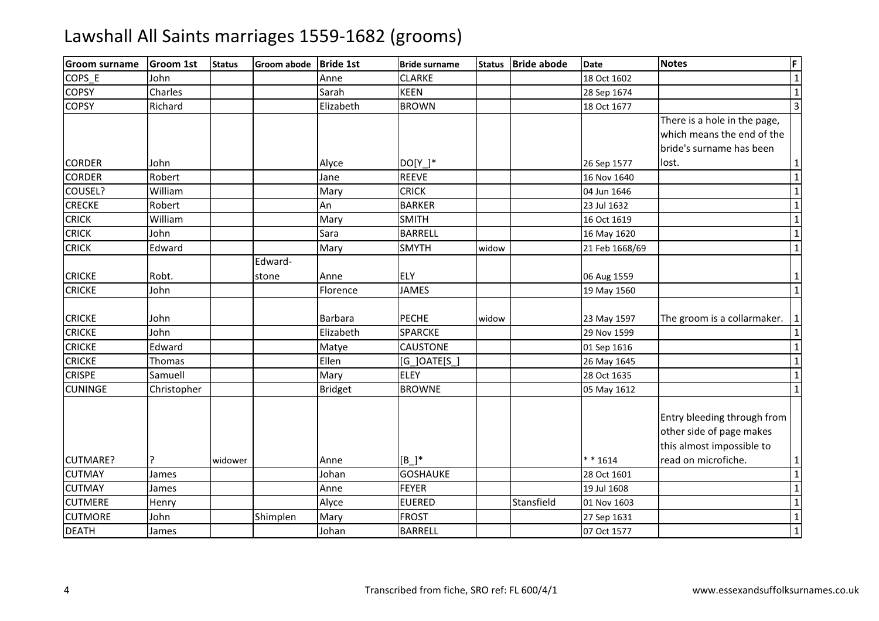| lGroom surname                 | <b>Groom 1st</b> | <b>Status</b> | <b>Groom abode</b> | <b>Bride 1st</b> | <b>Bride surname</b>       | <b>Status</b> | <b>Bride abode</b> | <b>Date</b>                | <b>Notes</b>                                                                                                | F                              |
|--------------------------------|------------------|---------------|--------------------|------------------|----------------------------|---------------|--------------------|----------------------------|-------------------------------------------------------------------------------------------------------------|--------------------------------|
| COPS E                         | John             |               |                    | Anne             | <b>CLARKE</b>              |               |                    | 18 Oct 1602                |                                                                                                             | $\mathbf 1$                    |
| <b>COPSY</b>                   | Charles          |               |                    | Sarah            | <b>KEEN</b>                |               |                    | 28 Sep 1674                |                                                                                                             | $\overline{1}$                 |
| <b>COPSY</b>                   | Richard          |               |                    | Elizabeth        | <b>BROWN</b>               |               |                    | 18 Oct 1677                |                                                                                                             |                                |
|                                |                  |               |                    |                  |                            |               |                    |                            | There is a hole in the page,<br>which means the end of the<br>bride's surname has been                      |                                |
| <b>CORDER</b>                  | John             |               |                    | Alyce            | DO[Y ]*                    |               |                    | 26 Sep 1577                | lost.                                                                                                       | $\mathbf{1}$                   |
| <b>CORDER</b>                  | Robert           |               |                    | Jane             | <b>REEVE</b>               |               |                    | 16 Nov 1640                |                                                                                                             | $\overline{1}$                 |
| COUSEL?                        | William          |               |                    | Mary             | <b>CRICK</b>               |               |                    | 04 Jun 1646                |                                                                                                             | $\overline{1}$                 |
| <b>CRECKE</b>                  | Robert           |               |                    | An               | <b>BARKER</b>              |               |                    | 23 Jul 1632                |                                                                                                             | $\overline{1}$                 |
| <b>CRICK</b>                   | William          |               |                    | Mary             | <b>SMITH</b>               |               |                    | 16 Oct 1619                |                                                                                                             | $\overline{1}$                 |
| <b>CRICK</b>                   | John             |               |                    | Sara             | <b>BARRELL</b>             |               |                    | 16 May 1620                |                                                                                                             | $\overline{1}$                 |
| <b>CRICK</b>                   | Edward           |               |                    | Mary             | <b>SMYTH</b>               | widow         |                    | 21 Feb 1668/69             |                                                                                                             | $\overline{1}$                 |
| <b>CRICKE</b><br><b>CRICKE</b> | Robt.<br>John    |               | Edward-<br>stone   | Anne<br>Florence | <b>ELY</b><br><b>JAMES</b> |               |                    | 06 Aug 1559<br>19 May 1560 |                                                                                                             | $\mathbf{1}$<br>$\overline{1}$ |
| <b>CRICKE</b>                  | John             |               |                    | Barbara          | <b>PECHE</b>               | widow         |                    | 23 May 1597                | The groom is a collarmaker.                                                                                 | $\vert 1 \vert$                |
| <b>CRICKE</b>                  | John             |               |                    | Elizabeth        | <b>SPARCKE</b>             |               |                    | 29 Nov 1599                |                                                                                                             | $\mathbf 1$                    |
| <b>CRICKE</b>                  | Edward           |               |                    | Matye            | <b>CAUSTONE</b>            |               |                    | 01 Sep 1616                |                                                                                                             | $\overline{1}$                 |
| <b>CRICKE</b>                  | <b>Thomas</b>    |               |                    | Ellen            | $[G_$ ]OATE $[S_$          |               |                    | 26 May 1645                |                                                                                                             | $\overline{1}$                 |
| <b>CRISPE</b>                  | Samuell          |               |                    | Mary             | <b>ELEY</b>                |               |                    | 28 Oct 1635                |                                                                                                             | $\mathbf{1}$                   |
| <b>CUNINGE</b>                 | Christopher      |               |                    | <b>Bridget</b>   | <b>BROWNE</b>              |               |                    | 05 May 1612                |                                                                                                             | $\overline{1}$                 |
| <b>CUTMARE?</b>                |                  | widower       |                    | Anne             | $[B]$ <sup>*</sup>         |               |                    | $* * 1614$                 | Entry bleeding through from<br>other side of page makes<br>this almost impossible to<br>read on microfiche. | $\mathbf{1}$                   |
| <b>CUTMAY</b>                  | James            |               |                    | Johan            | <b>GOSHAUKE</b>            |               |                    | 28 Oct 1601                |                                                                                                             | $\overline{1}$                 |
| <b>CUTMAY</b>                  | James            |               |                    | Anne             | <b>FEYER</b>               |               |                    | 19 Jul 1608                |                                                                                                             | $\overline{1}$                 |
| <b>CUTMERE</b>                 | Henry            |               |                    | Alyce            | <b>EUERED</b>              |               | Stansfield         | 01 Nov 1603                |                                                                                                             | $\overline{1}$                 |
| <b>CUTMORE</b>                 | John             |               | Shimplen           | Mary             | <b>FROST</b>               |               |                    | 27 Sep 1631                |                                                                                                             | $\overline{1}$                 |
| <b>DEATH</b>                   | James            |               |                    | Johan            | <b>BARRELL</b>             |               |                    | 07 Oct 1577                |                                                                                                             | $\overline{1}$                 |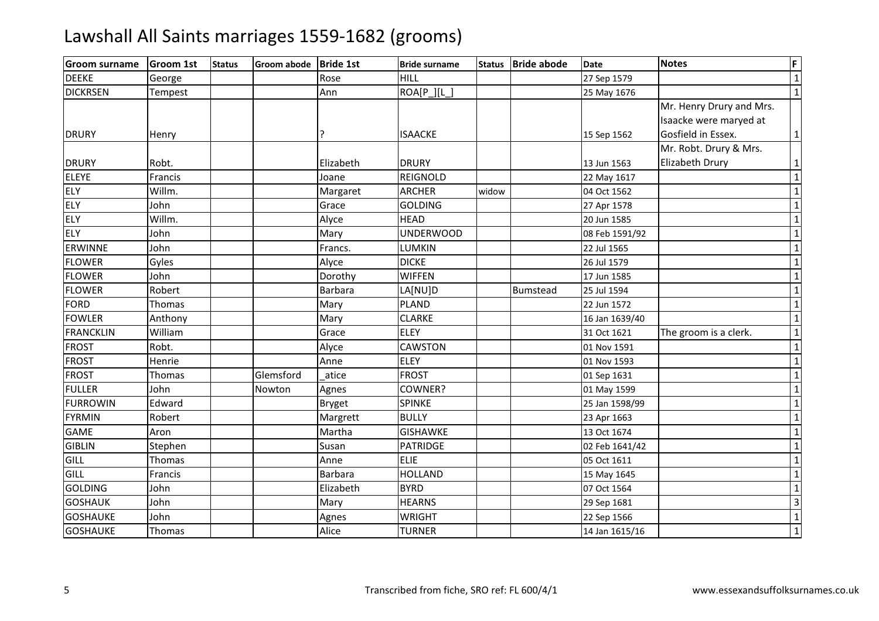| lGroom surname   | <b>Groom 1st</b> | <b>Status</b> | Groom abode Bride 1st |                | <b>Bride surname</b> | <b>Status</b> | <b>Bride abode</b> | <b>Date</b>    | <b>Notes</b>             | F              |
|------------------|------------------|---------------|-----------------------|----------------|----------------------|---------------|--------------------|----------------|--------------------------|----------------|
| <b>DEEKE</b>     | George           |               |                       | Rose           | <b>HILL</b>          |               |                    | 27 Sep 1579    |                          | $\mathbf{1}$   |
| <b>DICKRSEN</b>  | Tempest          |               |                       | Ann            | ROA[P_][L_]          |               |                    | 25 May 1676    |                          | $\mathbf{1}$   |
|                  |                  |               |                       |                |                      |               |                    |                | Mr. Henry Drury and Mrs. |                |
|                  |                  |               |                       |                |                      |               |                    |                | Isaacke were maryed at   |                |
| <b>DRURY</b>     | Henry            |               |                       | ?              | <b>ISAACKE</b>       |               |                    | 15 Sep 1562    | Gosfield in Essex.       | $\mathbf{1}$   |
|                  |                  |               |                       |                |                      |               |                    |                | Mr. Robt. Drury & Mrs.   |                |
| <b>DRURY</b>     | Robt.            |               |                       | Elizabeth      | <b>DRURY</b>         |               |                    | 13 Jun 1563    | Elizabeth Drury          | $\mathbf{1}$   |
| <b>ELEYE</b>     | Francis          |               |                       | Joane          | <b>REIGNOLD</b>      |               |                    | 22 May 1617    |                          | $\mathbf{1}$   |
| <b>ELY</b>       | Willm.           |               |                       | Margaret       | <b>ARCHER</b>        | widow         |                    | 04 Oct 1562    |                          | $\mathbf{1}$   |
| <b>ELY</b>       | John             |               |                       | Grace          | <b>GOLDING</b>       |               |                    | 27 Apr 1578    |                          | $\mathbf 1$    |
| <b>ELY</b>       | Willm.           |               |                       | Alyce          | <b>HEAD</b>          |               |                    | 20 Jun 1585    |                          | $\mathbf 1$    |
| <b>ELY</b>       | John             |               |                       | Mary           | <b>UNDERWOOD</b>     |               |                    | 08 Feb 1591/92 |                          | $\mathbf 1$    |
| <b>ERWINNE</b>   | John             |               |                       | Francs.        | LUMKIN               |               |                    | 22 Jul 1565    |                          | $\mathbf{1}$   |
| <b>FLOWER</b>    | Gyles            |               |                       | Alyce          | <b>DICKE</b>         |               |                    | 26 Jul 1579    |                          | $\mathbf{1}$   |
| <b>FLOWER</b>    | John             |               |                       | Dorothy        | <b>WIFFEN</b>        |               |                    | 17 Jun 1585    |                          | $\mathbf{1}$   |
| <b>FLOWER</b>    | Robert           |               |                       | <b>Barbara</b> | LA[NU]D              |               | <b>Bumstead</b>    | 25 Jul 1594    |                          | $\mathbf{1}$   |
| <b>FORD</b>      | Thomas           |               |                       | Mary           | <b>PLAND</b>         |               |                    | 22 Jun 1572    |                          | $\mathbf 1$    |
| <b>FOWLER</b>    | Anthony          |               |                       | Mary           | <b>CLARKE</b>        |               |                    | 16 Jan 1639/40 |                          | $\mathbf{1}$   |
| <b>FRANCKLIN</b> | William          |               |                       | Grace          | <b>ELEY</b>          |               |                    | 31 Oct 1621    | The groom is a clerk.    | $\mathbf{1}$   |
| <b>FROST</b>     | Robt.            |               |                       | Alyce          | <b>CAWSTON</b>       |               |                    | 01 Nov 1591    |                          | $\mathbf 1$    |
| <b>FROST</b>     | Henrie           |               |                       | Anne           | <b>ELEY</b>          |               |                    | 01 Nov 1593    |                          | $\mathbf{1}$   |
| <b>FROST</b>     | Thomas           |               | Glemsford             | atice          | <b>FROST</b>         |               |                    | 01 Sep 1631    |                          | $\mathbf{1}$   |
| <b>FULLER</b>    | John             |               | Nowton                | Agnes          | COWNER?              |               |                    | 01 May 1599    |                          | $\mathbf{1}$   |
| <b>FURROWIN</b>  | Edward           |               |                       | <b>Bryget</b>  | <b>SPINKE</b>        |               |                    | 25 Jan 1598/99 |                          | $\mathbf{1}$   |
| <b>FYRMIN</b>    | Robert           |               |                       | Margrett       | <b>BULLY</b>         |               |                    | 23 Apr 1663    |                          | $\mathbf{1}$   |
| <b>GAME</b>      | Aron             |               |                       | Martha         | <b>GISHAWKE</b>      |               |                    | 13 Oct 1674    |                          | $\mathbf 1$    |
| <b>GIBLIN</b>    | Stephen          |               |                       | Susan          | <b>PATRIDGE</b>      |               |                    | 02 Feb 1641/42 |                          | $\mathbf 1$    |
| GILL             | Thomas           |               |                       | Anne           | <b>ELIE</b>          |               |                    | 05 Oct 1611    |                          | $\mathbf{1}$   |
| GILL             | Francis          |               |                       | <b>Barbara</b> | <b>HOLLAND</b>       |               |                    | 15 May 1645    |                          | $\mathbf{1}$   |
| <b>GOLDING</b>   | John             |               |                       | Elizabeth      | <b>BYRD</b>          |               |                    | 07 Oct 1564    |                          | $\mathbf 1$    |
| <b>GOSHAUK</b>   | John             |               |                       | Mary           | <b>HEARNS</b>        |               |                    | 29 Sep 1681    |                          | $\overline{3}$ |
| <b>GOSHAUKE</b>  | John             |               |                       | Agnes          | <b>WRIGHT</b>        |               |                    | 22 Sep 1566    |                          | $\mathbf 1$    |
| <b>GOSHAUKE</b>  | Thomas           |               |                       | Alice          | <b>TURNER</b>        |               |                    | 14 Jan 1615/16 |                          | $\overline{1}$ |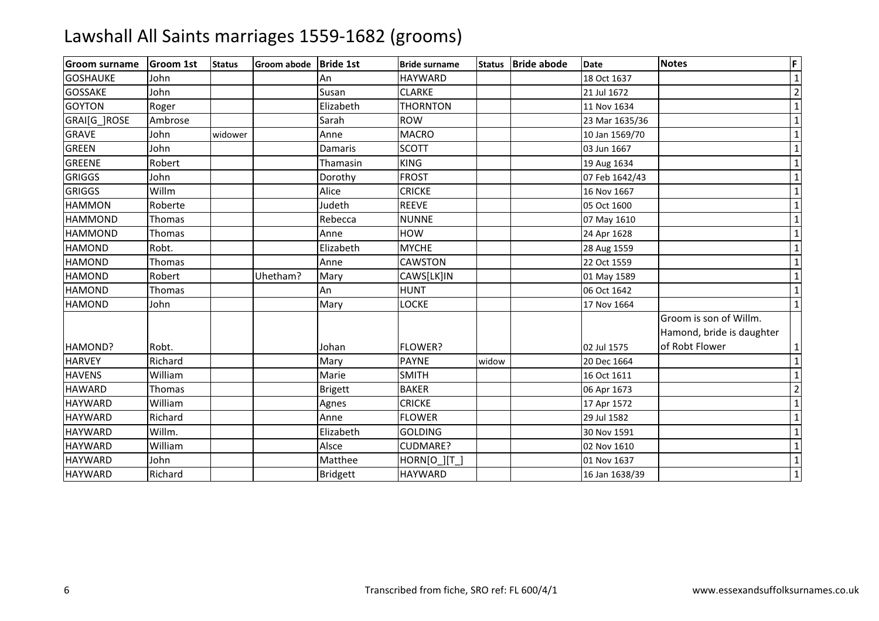| <b>Groom surname</b> | <b>Groom 1st</b> | <b>Status</b> | Groom abode Bride 1st |                 | <b>Bride surname</b> | <b>Status</b> | <b>Bride abode</b> | Date           | <b>Notes</b>                                                          | F              |
|----------------------|------------------|---------------|-----------------------|-----------------|----------------------|---------------|--------------------|----------------|-----------------------------------------------------------------------|----------------|
| <b>GOSHAUKE</b>      | John             |               |                       | An              | <b>HAYWARD</b>       |               |                    | 18 Oct 1637    |                                                                       | $\mathbf{1}$   |
| <b>GOSSAKE</b>       | John             |               |                       | Susan           | <b>CLARKE</b>        |               |                    | 21 Jul 1672    |                                                                       | $\overline{2}$ |
| <b>GOYTON</b>        | Roger            |               |                       | Elizabeth       | <b>THORNTON</b>      |               |                    | 11 Nov 1634    |                                                                       | $\mathbf{1}$   |
| GRAI[G ]ROSE         | Ambrose          |               |                       | Sarah           | <b>ROW</b>           |               |                    | 23 Mar 1635/36 |                                                                       | $\mathbf{1}$   |
| <b>GRAVE</b>         | John             | widower       |                       | Anne            | <b>MACRO</b>         |               |                    | 10 Jan 1569/70 |                                                                       | $\mathbf{1}$   |
| <b>GREEN</b>         | John             |               |                       | Damaris         | <b>SCOTT</b>         |               |                    | 03 Jun 1667    |                                                                       | $\mathbf{1}$   |
| <b>GREENE</b>        | Robert           |               |                       | Thamasin        | <b>KING</b>          |               |                    | 19 Aug 1634    |                                                                       | $\mathbf{1}$   |
| <b>GRIGGS</b>        | John             |               |                       | Dorothy         | <b>FROST</b>         |               |                    | 07 Feb 1642/43 |                                                                       | $\mathbf{1}$   |
| <b>GRIGGS</b>        | Willm            |               |                       | Alice           | <b>CRICKE</b>        |               |                    | 16 Nov 1667    |                                                                       | $\mathbf{1}$   |
| <b>HAMMON</b>        | Roberte          |               |                       | Judeth          | <b>REEVE</b>         |               |                    | 05 Oct 1600    |                                                                       |                |
| <b>HAMMOND</b>       | Thomas           |               |                       | Rebecca         | <b>NUNNE</b>         |               |                    | 07 May 1610    |                                                                       |                |
| <b>HAMMOND</b>       | Thomas           |               |                       | Anne            | <b>HOW</b>           |               |                    | 24 Apr 1628    |                                                                       |                |
| <b>HAMOND</b>        | Robt.            |               |                       | Elizabeth       | <b>MYCHE</b>         |               |                    | 28 Aug 1559    |                                                                       | $\mathbf{1}$   |
| <b>HAMOND</b>        | Thomas           |               |                       | Anne            | <b>CAWSTON</b>       |               |                    | 22 Oct 1559    |                                                                       | $\mathbf{1}$   |
| <b>HAMOND</b>        | Robert           |               | Uhetham?              | Mary            | CAWS[LK]IN           |               |                    | 01 May 1589    |                                                                       | $\mathbf 1$    |
| <b>HAMOND</b>        | Thomas           |               |                       | An              | <b>HUNT</b>          |               |                    | 06 Oct 1642    |                                                                       | $\mathbf 1$    |
| <b>HAMOND</b>        | John             |               |                       | Mary            | <b>LOCKE</b>         |               |                    | 17 Nov 1664    |                                                                       | $\mathbf{1}$   |
| HAMOND?              | Robt.            |               |                       | Johan           | <b>FLOWER?</b>       |               |                    | 02 Jul 1575    | Groom is son of Willm.<br>Hamond, bride is daughter<br>of Robt Flower | $\mathbf{1}$   |
| <b>HARVEY</b>        | Richard          |               |                       | Mary            | <b>PAYNE</b>         | widow         |                    | 20 Dec 1664    |                                                                       | $\mathbf 1$    |
| <b>HAVENS</b>        | William          |               |                       | Marie           | <b>SMITH</b>         |               |                    | 16 Oct 1611    |                                                                       | $\mathbf{1}$   |
| <b>HAWARD</b>        | Thomas           |               |                       | <b>Brigett</b>  | <b>BAKER</b>         |               |                    | 06 Apr 1673    |                                                                       | $\overline{2}$ |
| <b>HAYWARD</b>       | William          |               |                       | Agnes           | <b>CRICKE</b>        |               |                    | 17 Apr 1572    |                                                                       | $\mathbf{1}$   |
| <b>HAYWARD</b>       | Richard          |               |                       | Anne            | <b>FLOWER</b>        |               |                    | 29 Jul 1582    |                                                                       | $\mathbf{1}$   |
| <b>HAYWARD</b>       | Willm.           |               |                       | Elizabeth       | <b>GOLDING</b>       |               |                    | 30 Nov 1591    |                                                                       | $\mathbf{1}$   |
| <b>HAYWARD</b>       | William          |               |                       | Alsce           | CUDMARE?             |               |                    | 02 Nov 1610    |                                                                       | $\mathbf{1}$   |
| <b>HAYWARD</b>       | John             |               |                       | Matthee         | <b>HORN[O ][T ]</b>  |               |                    | 01 Nov 1637    |                                                                       | $\mathbf{1}$   |
| <b>HAYWARD</b>       | Richard          |               |                       | <b>Bridgett</b> | <b>HAYWARD</b>       |               |                    | 16 Jan 1638/39 |                                                                       |                |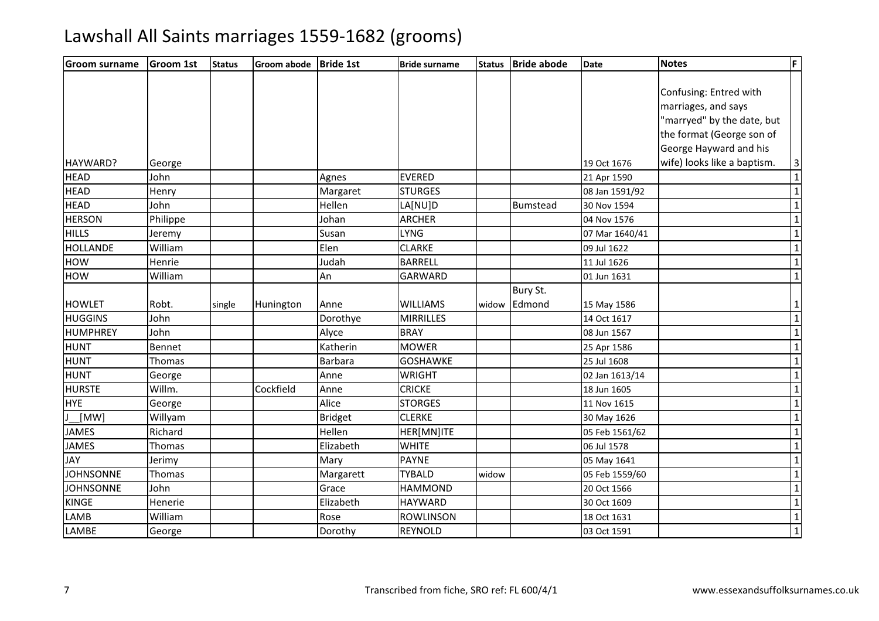| <b>Groom surname</b> | <b>Groom 1st</b> | <b>Status</b> | Groom abode | <b>Bride 1st</b> | <b>Bride surname</b> | <b>Status</b> | <b>Bride abode</b> | <b>Date</b>    | <b>Notes</b>                | F                       |
|----------------------|------------------|---------------|-------------|------------------|----------------------|---------------|--------------------|----------------|-----------------------------|-------------------------|
|                      |                  |               |             |                  |                      |               |                    |                |                             |                         |
|                      |                  |               |             |                  |                      |               |                    |                | Confusing: Entred with      |                         |
|                      |                  |               |             |                  |                      |               |                    |                | marriages, and says         |                         |
|                      |                  |               |             |                  |                      |               |                    |                | "marryed" by the date, but  |                         |
|                      |                  |               |             |                  |                      |               |                    |                | the format (George son of   |                         |
|                      |                  |               |             |                  |                      |               |                    |                | George Hayward and his      |                         |
| HAYWARD?             | George           |               |             |                  |                      |               |                    | 19 Oct 1676    | wife) looks like a baptism. | $\mathbf{3}$            |
| <b>HEAD</b>          | John             |               |             | Agnes            | <b>EVERED</b>        |               |                    | 21 Apr 1590    |                             | $\overline{1}$          |
| <b>HEAD</b>          | Henry            |               |             | Margaret         | <b>STURGES</b>       |               |                    | 08 Jan 1591/92 |                             | $\overline{1}$          |
| <b>HEAD</b>          | John             |               |             | Hellen           | LA[NU]D              |               | Bumstead           | 30 Nov 1594    |                             | $\overline{1}$          |
| <b>HERSON</b>        | Philippe         |               |             | Johan            | <b>ARCHER</b>        |               |                    | 04 Nov 1576    |                             | $\overline{1}$          |
| <b>HILLS</b>         | Jeremy           |               |             | Susan            | <b>LYNG</b>          |               |                    | 07 Mar 1640/41 |                             | $\overline{\mathbf{1}}$ |
| <b>HOLLANDE</b>      | William          |               |             | Elen             | <b>CLARKE</b>        |               |                    | 09 Jul 1622    |                             | $\overline{1}$          |
| <b>HOW</b>           | Henrie           |               |             | Judah            | <b>BARRELL</b>       |               |                    | 11 Jul 1626    |                             | $\mathbf 1$             |
| <b>HOW</b>           | William          |               |             | An               | <b>GARWARD</b>       |               |                    | 01 Jun 1631    |                             | $\overline{1}$          |
|                      |                  |               |             |                  |                      |               | Bury St.           |                |                             |                         |
| <b>HOWLET</b>        | Robt.            | single        | Hunington   | Anne             | <b>WILLIAMS</b>      | widow         | Edmond             | 15 May 1586    |                             | $\mathbf 1$             |
| <b>HUGGINS</b>       | John             |               |             | Dorothye         | <b>MIRRILLES</b>     |               |                    | 14 Oct 1617    |                             | $\overline{\mathbf{1}}$ |
| <b>HUMPHREY</b>      | John             |               |             | Alyce            | <b>BRAY</b>          |               |                    | 08 Jun 1567    |                             | $\overline{1}$          |
| <b>HUNT</b>          | Bennet           |               |             | Katherin         | <b>MOWER</b>         |               |                    | 25 Apr 1586    |                             | $\overline{1}$          |
| <b>HUNT</b>          | Thomas           |               |             | <b>Barbara</b>   | <b>GOSHAWKE</b>      |               |                    | 25 Jul 1608    |                             | $\overline{1}$          |
| <b>HUNT</b>          | George           |               |             | Anne             | <b>WRIGHT</b>        |               |                    | 02 Jan 1613/14 |                             | $\mathbf{1}$            |
| <b>HURSTE</b>        | Willm.           |               | Cockfield   | Anne             | <b>CRICKE</b>        |               |                    | 18 Jun 1605    |                             | $\overline{1}$          |
| <b>HYE</b>           | George           |               |             | Alice            | <b>STORGES</b>       |               |                    | 11 Nov 1615    |                             | $\overline{1}$          |
| [MW]                 | Willyam          |               |             | <b>Bridget</b>   | <b>CLERKE</b>        |               |                    | 30 May 1626    |                             | $\overline{1}$          |
| <b>JAMES</b>         | Richard          |               |             | Hellen           | HER[MN]ITE           |               |                    | 05 Feb 1561/62 |                             | $\overline{1}$          |
| <b>JAMES</b>         | Thomas           |               |             | Elizabeth        | <b>WHITE</b>         |               |                    | 06 Jul 1578    |                             | $\mathbf{1}$            |
| <b>JAY</b>           | Jerimy           |               |             | Mary             | <b>PAYNE</b>         |               |                    | 05 May 1641    |                             | $\overline{1}$          |
| <b>JOHNSONNE</b>     | Thomas           |               |             | Margarett        | <b>TYBALD</b>        | widow         |                    | 05 Feb 1559/60 |                             | $\overline{1}$          |
| <b>JOHNSONNE</b>     | John             |               |             | Grace            | <b>HAMMOND</b>       |               |                    | 20 Oct 1566    |                             | $\overline{1}$          |
| <b>KINGE</b>         | Henerie          |               |             | Elizabeth        | <b>HAYWARD</b>       |               |                    | 30 Oct 1609    |                             | $\overline{1}$          |
| LAMB                 | William          |               |             | Rose             | <b>ROWLINSON</b>     |               |                    | 18 Oct 1631    |                             | $\overline{1}$          |
| LAMBE                | George           |               |             | Dorothy          | REYNOLD              |               |                    | 03 Oct 1591    |                             | $\overline{1}$          |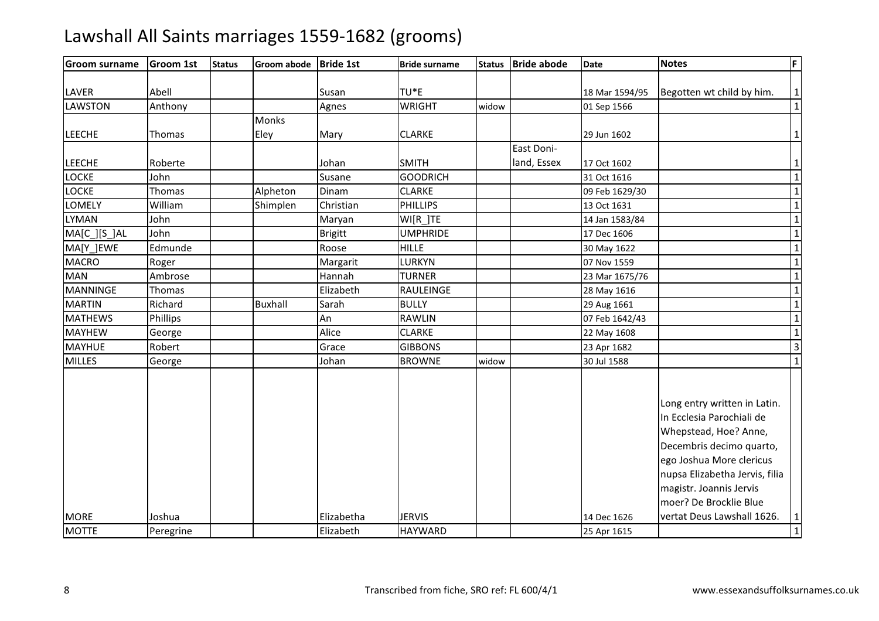#### Groom surnamee Groom 1st Status Groom abode Bride 1st Bride surname Status Bride abode Date Notes Notes F LAVER Abell Susan TU\*E $\frac{18 \text{ Nar } 1594/95}{18 \text{ Mar } 1594/95}$  Begotten wt child by him.<br>WRIGHT widow 01 Sep 1566 LAWSTONN Anthony Agnes WRIGHT widow 01 Sep 1566 1 LEECHE Thomas Monks EleyMary **CLARKE**  $E$  29 Jun 1602 20 Jun 1602 1 LEECHE Roberte Johan SMITH**GOODRICH** East Doniland, Essex 17 Oct 16022 and  $\sqrt{1}$ LOCKEJohn<br>Thomas n Susane GOODRICH H 31 Oct 1616 1 LOCKEAlpheton Alpheton Dinam<br>Shimplen Christian CLARKE 09 Feb 1629/30 <sup>1</sup> LOMELY Williamm Shimplen Christian PHILLIPS 13 Oct 1631 1 Shimplen 11 Million 15 Oct 1631 1 Million 15 Oct 1631 1 LYMANN John Maryan WI[R\_]TE 14 Jan 1583/84 14 Jan 1583/84 1583/84 1583/84 1583/84 1583/84 1583/84 1583/84 1583/84 1583/84 1583/84 1583/84 1583/84 1583/84 1583/84 1583/84 1583/84 1583/84 1583/84 1583/84 1583/84 1583/84 1583/84 1 MA[C\_][S\_]AL John Brigitt UMPHRIDE 17 Dec 1606 <sup>1</sup> MA[Y\_]EWE Edmunde Roose HILLE 30 May 1622 <sup>1</sup> $\overline{1}$ MACRO Roger Margarit LURKYN 07 Nov 1559 <sup>1</sup> MANN Ambrose Hannah TURNER 23 Mar 1675/76 1 MANNINGEE Thomas | Research Elizabeth RAULEINGE 28 May 1616 <sup>1</sup> MARTIN Richard Buxhall Sarah BULLY 29 Aug 1661 <sup>1</sup> MATHEWS Phillips AnAn RAWLIN<br>Alice CLARKE 07 Feb 1642/43 1<br>22 May 1608 10 1 MAYHEWW George Alice CLARKE 22 May 1608 1<br>1 George Alice Cuppons Clare 22 May 1608 1 MAYHUEE Robert | Grace e GIBBONS | 23 Apr 1682 | 3 MILLES Georgee Johan Johan n BROWNE widow 30 Jul 1588 1 MORE Joshua Elizabetha JERVIS 14 Dec 1626Long entry written in Latin. In Ecclesia Parochiali de Whepstead, Hoe? Anne, Decembris decimo quarto, ego Joshua More clericus nupsa Elizabetha Jervis, filia magistr. Joannis Jervis moer? De Brocklie Blue vertat Deus Lawshall 1626.. |1 MOTTE Peregrine Elizabeth**HAYWARD** D 25 Apr 1615 25 Apr 1615 25 Apr 1615 25 Apr 1615 25 Apr 1615 25 Apr 2017 25 Apr 2017 25 Apr 2017 25 Apr 2017 2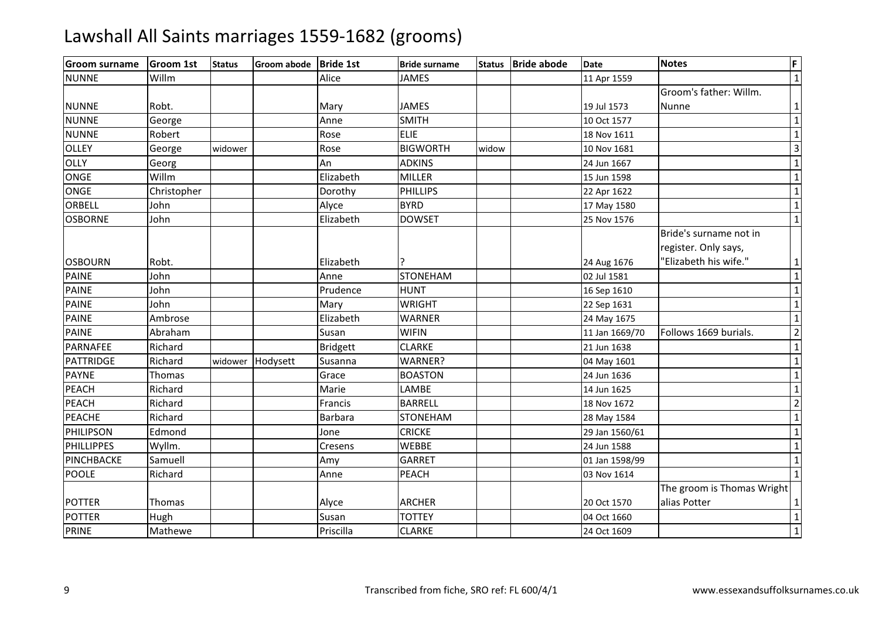| <b>Groom surname</b> | <b>Groom 1st</b> | <b>Status</b> | Groom abode Bride 1st |                 | <b>Bride surname</b> | <b>Status</b> | <b>Bride abode</b> | <b>Date</b>    | <b>Notes</b>                                   | F                       |
|----------------------|------------------|---------------|-----------------------|-----------------|----------------------|---------------|--------------------|----------------|------------------------------------------------|-------------------------|
| <b>NUNNE</b>         | Willm            |               |                       | Alice           | <b>JAMES</b>         |               |                    | 11 Apr 1559    |                                                | $\overline{1}$          |
|                      |                  |               |                       |                 |                      |               |                    |                | Groom's father: Willm.                         |                         |
| <b>NUNNE</b>         | Robt.            |               |                       | Mary            | <b>JAMES</b>         |               |                    | 19 Jul 1573    | Nunne                                          | $\mathbf{1}$            |
| <b>NUNNE</b>         | George           |               |                       | Anne            | <b>SMITH</b>         |               |                    | 10 Oct 1577    |                                                | $\overline{1}$          |
| <b>NUNNE</b>         | Robert           |               |                       | Rose            | <b>ELIE</b>          |               |                    | 18 Nov 1611    |                                                | $\mathbf 1$             |
| <b>OLLEY</b>         | George           | widower       |                       | Rose            | <b>BIGWORTH</b>      | widow         |                    | 10 Nov 1681    |                                                | $\overline{3}$          |
| OLLY                 | Georg            |               |                       | An              | <b>ADKINS</b>        |               |                    | 24 Jun 1667    |                                                | $\overline{1}$          |
| <b>ONGE</b>          | Willm            |               |                       | Elizabeth       | <b>MILLER</b>        |               |                    | 15 Jun 1598    |                                                | $\mathbf 1$             |
| <b>ONGE</b>          | Christopher      |               |                       | Dorothy         | <b>PHILLIPS</b>      |               |                    | 22 Apr 1622    |                                                | $\overline{1}$          |
| ORBELL               | John             |               |                       | Alyce           | <b>BYRD</b>          |               |                    | 17 May 1580    |                                                | $\overline{1}$          |
| <b>OSBORNE</b>       | John             |               |                       | Elizabeth       | <b>DOWSET</b>        |               |                    | 25 Nov 1576    |                                                | $\mathbf{1}$            |
|                      |                  |               |                       |                 |                      |               |                    |                | Bride's surname not in<br>register. Only says, |                         |
| <b>OSBOURN</b>       | Robt.            |               |                       | Elizabeth       |                      |               |                    | 24 Aug 1676    | 'Elizabeth his wife."                          | $\mathbf{1}$            |
| <b>PAINE</b>         | John             |               |                       | Anne            | <b>STONEHAM</b>      |               |                    | 02 Jul 1581    |                                                | $\overline{1}$          |
| <b>PAINE</b>         | John             |               |                       | Prudence        | HUNT                 |               |                    | 16 Sep 1610    |                                                | $\mathbf 1$             |
| <b>PAINE</b>         | John             |               |                       | Mary            | <b>WRIGHT</b>        |               |                    | 22 Sep 1631    |                                                | $\overline{\mathbf{1}}$ |
| <b>PAINE</b>         | Ambrose          |               |                       | Elizabeth       | <b>WARNER</b>        |               |                    | 24 May 1675    |                                                | $\overline{1}$          |
| <b>PAINE</b>         | Abraham          |               |                       | Susan           | <b>WIFIN</b>         |               |                    | 11 Jan 1669/70 | Follows 1669 burials.                          | $\overline{2}$          |
| <b>PARNAFEE</b>      | Richard          |               |                       | <b>Bridgett</b> | <b>CLARKE</b>        |               |                    | 21 Jun 1638    |                                                | $\mathbf 1$             |
| <b>PATTRIDGE</b>     | Richard          |               | widower Hodysett      | Susanna         | WARNER?              |               |                    | 04 May 1601    |                                                | $\overline{1}$          |
| <b>PAYNE</b>         | Thomas           |               |                       | Grace           | <b>BOASTON</b>       |               |                    | 24 Jun 1636    |                                                | $\overline{1}$          |
| <b>PEACH</b>         | Richard          |               |                       | Marie           | LAMBE                |               |                    | 14 Jun 1625    |                                                | $\overline{1}$          |
| <b>PEACH</b>         | Richard          |               |                       | Francis         | <b>BARRELL</b>       |               |                    | 18 Nov 1672    |                                                | $\overline{2}$          |
| <b>PEACHE</b>        | Richard          |               |                       | Barbara         | <b>STONEHAM</b>      |               |                    | 28 May 1584    |                                                | $\overline{1}$          |
| PHILIPSON            | Edmond           |               |                       | Jone            | <b>CRICKE</b>        |               |                    | 29 Jan 1560/61 |                                                | $\mathbf 1$             |
| <b>PHILLIPPES</b>    | Wyllm.           |               |                       | Cresens         | <b>WEBBE</b>         |               |                    | 24 Jun 1588    |                                                | $\overline{1}$          |
| PINCHBACKE           | Samuell          |               |                       | Amy             | <b>GARRET</b>        |               |                    | 01 Jan 1598/99 |                                                | $\overline{1}$          |
| <b>POOLE</b>         | Richard          |               |                       | Anne            | <b>PEACH</b>         |               |                    | 03 Nov 1614    |                                                | $\mathbf{1}$            |
| <b>POTTER</b>        | Thomas           |               |                       | Alyce           | <b>ARCHER</b>        |               |                    | 20 Oct 1570    | The groom is Thomas Wright<br>alias Potter     | 1                       |
| <b>POTTER</b>        | Hugh             |               |                       | Susan           | <b>TOTTEY</b>        |               |                    | 04 Oct 1660    |                                                | $\mathbf 1$             |
| <b>PRINE</b>         | Mathewe          |               |                       | Priscilla       | <b>CLARKE</b>        |               |                    | 24 Oct 1609    |                                                | $\overline{1}$          |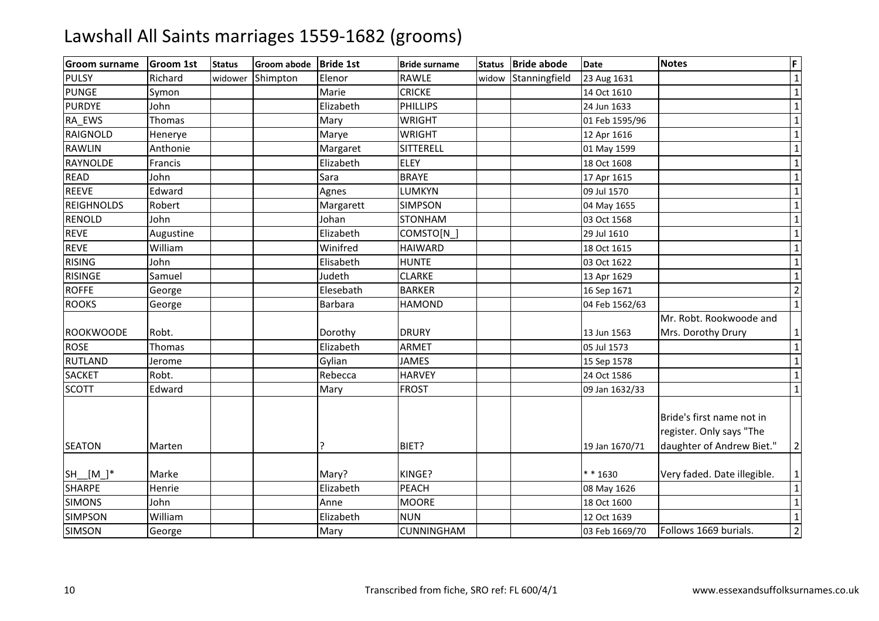| <b>Groom surname</b> | <b>Groom 1st</b> | <b>Status</b> | <b>Groom abode</b> | <b>Bride 1st</b> | <b>Bride surname</b> | <b>Status</b> | <b>Bride abode</b> | <b>Date</b>    | <b>Notes</b>                                                                       | F                       |
|----------------------|------------------|---------------|--------------------|------------------|----------------------|---------------|--------------------|----------------|------------------------------------------------------------------------------------|-------------------------|
| <b>PULSY</b>         | Richard          | widower       | Shimpton           | Elenor           | <b>RAWLE</b>         | widow         | Stanningfield      | 23 Aug 1631    |                                                                                    | $\overline{1}$          |
| <b>PUNGE</b>         | Symon            |               |                    | Marie            | <b>CRICKE</b>        |               |                    | 14 Oct 1610    |                                                                                    | $\overline{\mathbf{1}}$ |
| <b>PURDYE</b>        | John             |               |                    | Elizabeth        | <b>PHILLIPS</b>      |               |                    | 24 Jun 1633    |                                                                                    | $\mathbf{1}$            |
| RA EWS               | <b>Thomas</b>    |               |                    | Mary             | <b>WRIGHT</b>        |               |                    | 01 Feb 1595/96 |                                                                                    | $\mathbf 1$             |
| <b>RAIGNOLD</b>      | Henerye          |               |                    | Marye            | <b>WRIGHT</b>        |               |                    | 12 Apr 1616    |                                                                                    | $\mathbf{1}$            |
| <b>RAWLIN</b>        | Anthonie         |               |                    | Margaret         | <b>SITTERELL</b>     |               |                    | 01 May 1599    |                                                                                    | $\mathbf 1$             |
| <b>RAYNOLDE</b>      | Francis          |               |                    | Elizabeth        | <b>ELEY</b>          |               |                    | 18 Oct 1608    |                                                                                    | $\mathbf 1$             |
| <b>READ</b>          | John             |               |                    | Sara             | <b>BRAYE</b>         |               |                    | 17 Apr 1615    |                                                                                    | $\mathbf{1}$            |
| <b>REEVE</b>         | Edward           |               |                    | Agnes            | LUMKYN               |               |                    | 09 Jul 1570    |                                                                                    | $\overline{1}$          |
| <b>REIGHNOLDS</b>    | Robert           |               |                    | Margarett        | <b>SIMPSON</b>       |               |                    | 04 May 1655    |                                                                                    | $\mathbf 1$             |
| <b>RENOLD</b>        | John             |               |                    | Johan            | <b>STONHAM</b>       |               |                    | 03 Oct 1568    |                                                                                    | $\mathbf{1}$            |
| <b>REVE</b>          | Augustine        |               |                    | Elizabeth        | COMSTO[N_]           |               |                    | 29 Jul 1610    |                                                                                    | $\mathbf 1$             |
| <b>REVE</b>          | William          |               |                    | Winifred         | <b>HAIWARD</b>       |               |                    | 18 Oct 1615    |                                                                                    | $\mathbf 1$             |
| <b>RISING</b>        | John             |               |                    | Elisabeth        | <b>HUNTE</b>         |               |                    | 03 Oct 1622    |                                                                                    | $\mathbf{1}$            |
| <b>RISINGE</b>       | Samuel           |               |                    | Judeth           | <b>CLARKE</b>        |               |                    | 13 Apr 1629    |                                                                                    | $\mathbf 1$             |
| <b>ROFFE</b>         | George           |               |                    | Elesebath        | <b>BARKER</b>        |               |                    | 16 Sep 1671    |                                                                                    | $\overline{2}$          |
| <b>ROOKS</b>         | George           |               |                    | Barbara          | <b>HAMOND</b>        |               |                    | 04 Feb 1562/63 |                                                                                    | $\mathbf 1$             |
|                      |                  |               |                    |                  |                      |               |                    |                | Mr. Robt. Rookwoode and                                                            |                         |
| ROOKWOODE            | Robt.            |               |                    | Dorothy          | <b>DRURY</b>         |               |                    | 13 Jun 1563    | Mrs. Dorothy Drury                                                                 | 1                       |
| <b>ROSE</b>          | Thomas           |               |                    | Elizabeth        | <b>ARMET</b>         |               |                    | 05 Jul 1573    |                                                                                    | $\mathbf 1$             |
| <b>RUTLAND</b>       | Jerome           |               |                    | Gylian           | <b>JAMES</b>         |               |                    | 15 Sep 1578    |                                                                                    | $\overline{\mathbf{1}}$ |
| <b>SACKET</b>        | Robt.            |               |                    | Rebecca          | <b>HARVEY</b>        |               |                    | 24 Oct 1586    |                                                                                    | $\mathbf{1}$            |
| <b>SCOTT</b>         | Edward           |               |                    | Mary             | <b>FROST</b>         |               |                    | 09 Jan 1632/33 |                                                                                    | $\mathbf{1}$            |
| <b>SEATON</b>        | Marten           |               |                    | ?                | BIET?                |               |                    | 19 Jan 1670/71 | Bride's first name not in<br>register. Only says "The<br>daughter of Andrew Biet." | $\overline{2}$          |
| $SH$ $[M_$ $*$       | Marke            |               |                    | Mary?            | KINGE?               |               |                    | ** 1630        | Very faded. Date illegible.                                                        | 1                       |
| <b>SHARPE</b>        | Henrie           |               |                    | Elizabeth        | <b>PEACH</b>         |               |                    | 08 May 1626    |                                                                                    | $\mathbf{1}$            |
| <b>SIMONS</b>        | John             |               |                    | Anne             | <b>MOORE</b>         |               |                    | 18 Oct 1600    |                                                                                    | $\overline{1}$          |
| <b>SIMPSON</b>       | William          |               |                    | Elizabeth        | <b>NUN</b>           |               |                    | 12 Oct 1639    |                                                                                    | $\overline{1}$          |
| <b>SIMSON</b>        | George           |               |                    | Mary             | <b>CUNNINGHAM</b>    |               |                    | 03 Feb 1669/70 | Follows 1669 burials.                                                              | $\overline{2}$          |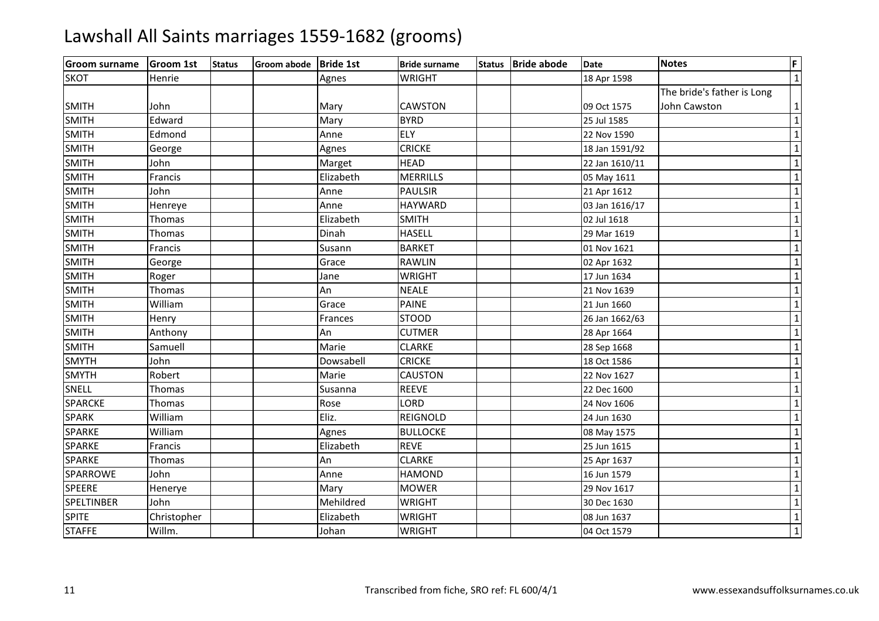| <b>Groom surname</b> | <b>Groom 1st</b> | <b>Status</b> | Groom abode   Bride 1st |           | <b>Bride surname</b> | Status Bride abode | Date           | <b>Notes</b>               | F.             |
|----------------------|------------------|---------------|-------------------------|-----------|----------------------|--------------------|----------------|----------------------------|----------------|
| <b>SKOT</b>          | Henrie           |               |                         | Agnes     | <b>WRIGHT</b>        |                    | 18 Apr 1598    |                            | $1\vert$       |
|                      |                  |               |                         |           |                      |                    |                | The bride's father is Long |                |
| <b>SMITH</b>         | John             |               |                         | Mary      | <b>CAWSTON</b>       |                    | 09 Oct 1575    | John Cawston               | $1\vert$       |
| <b>SMITH</b>         | Edward           |               |                         | Mary      | <b>BYRD</b>          |                    | 25 Jul 1585    |                            | $\mathbf 1$    |
| <b>SMITH</b>         | Edmond           |               |                         | Anne      | <b>ELY</b>           |                    | 22 Nov 1590    |                            | $\mathbf 1$    |
| <b>SMITH</b>         | George           |               |                         | Agnes     | <b>CRICKE</b>        |                    | 18 Jan 1591/92 |                            | $\mathbf 1$    |
| <b>SMITH</b>         | John             |               |                         | Marget    | <b>HEAD</b>          |                    | 22 Jan 1610/11 |                            | $\overline{1}$ |
| <b>SMITH</b>         | Francis          |               |                         | Elizabeth | <b>MERRILLS</b>      |                    | 05 May 1611    |                            | $\mathbf 1$    |
| <b>SMITH</b>         | John             |               |                         | Anne      | <b>PAULSIR</b>       |                    | 21 Apr 1612    |                            | $\overline{1}$ |
| <b>SMITH</b>         | Henreye          |               |                         | Anne      | <b>HAYWARD</b>       |                    | 03 Jan 1616/17 |                            | $\mathbf 1$    |
| <b>SMITH</b>         | Thomas           |               |                         | Elizabeth | <b>SMITH</b>         |                    | 02 Jul 1618    |                            | $\mathbf{1}$   |
| <b>SMITH</b>         | Thomas           |               |                         | Dinah     | <b>HASELL</b>        |                    | 29 Mar 1619    |                            | $\mathbf 1$    |
| <b>SMITH</b>         | Francis          |               |                         | Susann    | <b>BARKET</b>        |                    | 01 Nov 1621    |                            | $\mathbf 1$    |
| <b>SMITH</b>         | George           |               |                         | Grace     | RAWLIN               |                    | 02 Apr 1632    |                            | $\mathbf 1$    |
| <b>SMITH</b>         | Roger            |               |                         | Jane      | <b>WRIGHT</b>        |                    | 17 Jun 1634    |                            | $\mathbf 1$    |
| <b>SMITH</b>         | Thomas           |               |                         | An        | <b>NEALE</b>         |                    | 21 Nov 1639    |                            | $\mathbf 1$    |
| <b>SMITH</b>         | William          |               |                         | Grace     | <b>PAINE</b>         |                    | 21 Jun 1660    |                            | $\mathbf 1$    |
| <b>SMITH</b>         | Henry            |               |                         | Frances   | <b>STOOD</b>         |                    | 26 Jan 1662/63 |                            | $\overline{1}$ |
| <b>SMITH</b>         | Anthony          |               |                         | An        | <b>CUTMER</b>        |                    | 28 Apr 1664    |                            | $\mathbf 1$    |
| <b>SMITH</b>         | Samuell          |               |                         | Marie     | <b>CLARKE</b>        |                    | 28 Sep 1668    |                            | $\mathbf 1$    |
| <b>SMYTH</b>         | John             |               |                         | Dowsabell | <b>CRICKE</b>        |                    | 18 Oct 1586    |                            | $\mathbf{1}$   |
| <b>SMYTH</b>         | Robert           |               |                         | Marie     | <b>CAUSTON</b>       |                    | 22 Nov 1627    |                            | $1\vert$       |
| SNELL                | Thomas           |               |                         | Susanna   | <b>REEVE</b>         |                    | 22 Dec 1600    |                            | $\mathbf 1$    |
| <b>SPARCKE</b>       | Thomas           |               |                         | Rose      | LORD                 |                    | 24 Nov 1606    |                            | $1\vert$       |
| <b>SPARK</b>         | William          |               |                         | Eliz.     | REIGNOLD             |                    | 24 Jun 1630    |                            | $\mathbf 1$    |
| <b>SPARKE</b>        | William          |               |                         | Agnes     | <b>BULLOCKE</b>      |                    | 08 May 1575    |                            | $\mathbf 1$    |
| <b>SPARKE</b>        | Francis          |               |                         | Elizabeth | <b>REVE</b>          |                    | 25 Jun 1615    |                            | $\mathbf{1}$   |
| <b>SPARKE</b>        | Thomas           |               |                         | An        | <b>CLARKE</b>        |                    | 25 Apr 1637    |                            | $\mathbf 1$    |
| <b>SPARROWE</b>      | John             |               |                         | Anne      | <b>HAMOND</b>        |                    | 16 Jun 1579    |                            | $\mathbf 1$    |
| <b>SPEERE</b>        | Henerye          |               |                         | Mary      | <b>MOWER</b>         |                    | 29 Nov 1617    |                            | $\overline{1}$ |
| <b>SPELTINBER</b>    | John             |               |                         | Mehildred | <b>WRIGHT</b>        |                    | 30 Dec 1630    |                            | $\overline{1}$ |
| <b>SPITE</b>         | Christopher      |               |                         | Elizabeth | <b>WRIGHT</b>        |                    | 08 Jun 1637    |                            | $1\vert$       |
| <b>STAFFE</b>        | Willm.           |               |                         | Johan     | <b>WRIGHT</b>        |                    | 04 Oct 1579    |                            | $\overline{1}$ |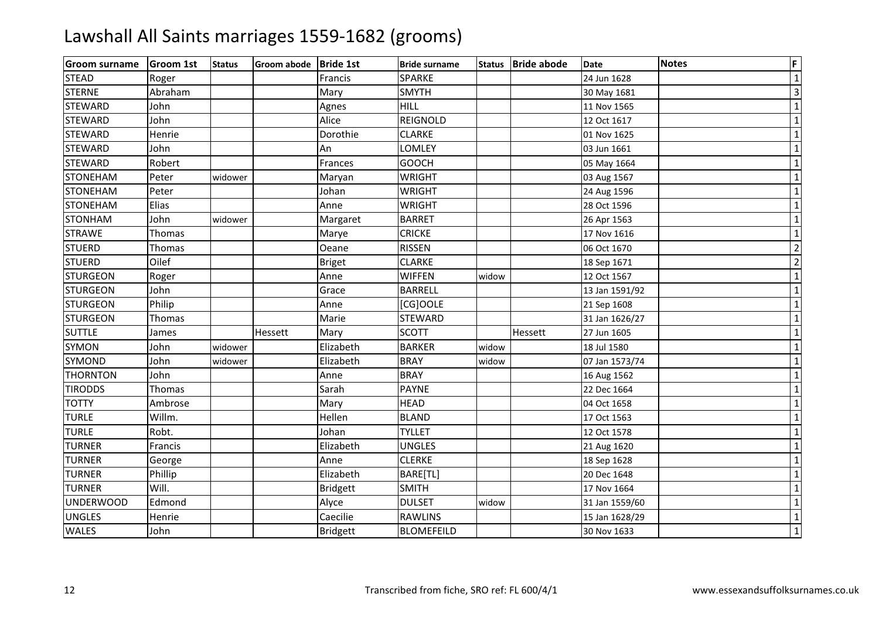| <b>Groom surname</b> | <b>Groom 1st</b> | <b>Status</b> | Groom abode Bride 1st |                 | <b>Bride surname</b> |       | Status   Bride abode | <b>Date</b>    | <b>Notes</b> | F                       |
|----------------------|------------------|---------------|-----------------------|-----------------|----------------------|-------|----------------------|----------------|--------------|-------------------------|
| <b>STEAD</b>         | Roger            |               |                       | Francis         | <b>SPARKE</b>        |       |                      | 24 Jun 1628    |              | $\mathbf 1$             |
| <b>STERNE</b>        | Abraham          |               |                       | Mary            | <b>SMYTH</b>         |       |                      | 30 May 1681    |              | $\overline{\mathbf{3}}$ |
| <b>STEWARD</b>       | John             |               |                       | Agnes           | <b>HILL</b>          |       |                      | 11 Nov 1565    |              | $\mathbf 1$             |
| <b>STEWARD</b>       | John             |               |                       | Alice           | <b>REIGNOLD</b>      |       |                      | 12 Oct 1617    |              | $\mathbf 1$             |
| <b>STEWARD</b>       | Henrie           |               |                       | Dorothie        | <b>CLARKE</b>        |       |                      | 01 Nov 1625    |              | $\mathbf 1$             |
| <b>STEWARD</b>       | John             |               |                       | An              | LOMLEY               |       |                      | 03 Jun 1661    |              | $\mathbf 1$             |
| <b>STEWARD</b>       | Robert           |               |                       | Frances         | <b>GOOCH</b>         |       |                      | 05 May 1664    |              | $\mathbf 1$             |
| <b>STONEHAM</b>      | Peter            | widower       |                       | Maryan          | <b>WRIGHT</b>        |       |                      | 03 Aug 1567    |              | $\mathbf 1$             |
| <b>STONEHAM</b>      | Peter            |               |                       | Johan           | <b>WRIGHT</b>        |       |                      | 24 Aug 1596    |              | $\mathbf 1$             |
| <b>STONEHAM</b>      | Elias            |               |                       | Anne            | <b>WRIGHT</b>        |       |                      | 28 Oct 1596    |              | $\mathbf 1$             |
| <b>STONHAM</b>       | John             | widower       |                       | Margaret        | <b>BARRET</b>        |       |                      | 26 Apr 1563    |              | $\mathbf 1$             |
| <b>STRAWE</b>        | Thomas           |               |                       | Marye           | <b>CRICKE</b>        |       |                      | 17 Nov 1616    |              | $\mathbf 1$             |
| <b>STUERD</b>        | Thomas           |               |                       | Oeane           | <b>RISSEN</b>        |       |                      | 06 Oct 1670    |              | $\overline{2}$          |
| <b>STUERD</b>        | Oilef            |               |                       | <b>Briget</b>   | <b>CLARKE</b>        |       |                      | 18 Sep 1671    |              | $\overline{2}$          |
| <b>STURGEON</b>      | Roger            |               |                       | Anne            | <b>WIFFEN</b>        | widow |                      | 12 Oct 1567    |              | $\mathbf 1$             |
| <b>STURGEON</b>      | John             |               |                       | Grace           | <b>BARRELL</b>       |       |                      | 13 Jan 1591/92 |              | $\mathbf 1$             |
| <b>STURGEON</b>      | Philip           |               |                       | Anne            | [CG]OOLE             |       |                      | 21 Sep 1608    |              | $\mathbf 1$             |
| <b>STURGEON</b>      | Thomas           |               |                       | Marie           | <b>STEWARD</b>       |       |                      | 31 Jan 1626/27 |              | $\mathbf 1$             |
| <b>SUTTLE</b>        | James            |               | Hessett               | Mary            | <b>SCOTT</b>         |       | Hessett              | 27 Jun 1605    |              | $\mathbf 1$             |
| <b>SYMON</b>         | John             | widower       |                       | Elizabeth       | <b>BARKER</b>        | widow |                      | 18 Jul 1580    |              | $\mathbf 1$             |
| SYMOND               | John             | widower       |                       | Elizabeth       | <b>BRAY</b>          | widow |                      | 07 Jan 1573/74 |              | $\mathbf 1$             |
| <b>THORNTON</b>      | John             |               |                       | Anne            | <b>BRAY</b>          |       |                      | 16 Aug 1562    |              | $\mathbf 1$             |
| <b>TIRODDS</b>       | Thomas           |               |                       | Sarah           | <b>PAYNE</b>         |       |                      | 22 Dec 1664    |              | $\overline{1}$          |
| <b>TOTTY</b>         | Ambrose          |               |                       | Mary            | <b>HEAD</b>          |       |                      | 04 Oct 1658    |              | $\mathbf 1$             |
| <b>TURLE</b>         | Willm.           |               |                       | Hellen          | <b>BLAND</b>         |       |                      | 17 Oct 1563    |              | $\mathbf{1}$            |
| <b>TURLE</b>         | Robt.            |               |                       | Johan           | <b>TYLLET</b>        |       |                      | 12 Oct 1578    |              | $\mathbf 1$             |
| <b>TURNER</b>        | Francis          |               |                       | Elizabeth       | <b>UNGLES</b>        |       |                      | 21 Aug 1620    |              | $\mathbf 1$             |
| <b>TURNER</b>        | George           |               |                       | Anne            | <b>CLERKE</b>        |       |                      | 18 Sep 1628    |              | $\mathbf 1$             |
| <b>TURNER</b>        | Phillip          |               |                       | Elizabeth       | BARE[TL]             |       |                      | 20 Dec 1648    |              | $\mathbf 1$             |
| <b>TURNER</b>        | Will.            |               |                       | <b>Bridgett</b> | <b>SMITH</b>         |       |                      | 17 Nov 1664    |              | $\mathbf 1$             |
| <b>UNDERWOOD</b>     | Edmond           |               |                       | Alyce           | <b>DULSET</b>        | widow |                      | 31 Jan 1559/60 |              | $\mathbf 1$             |
| <b>UNGLES</b>        | Henrie           |               |                       | Caecilie        | <b>RAWLINS</b>       |       |                      | 15 Jan 1628/29 |              | $\mathbf 1$             |
| <b>WALES</b>         | John             |               |                       | <b>Bridgett</b> | <b>BLOMEFEILD</b>    |       |                      | 30 Nov 1633    |              | $1\vert$                |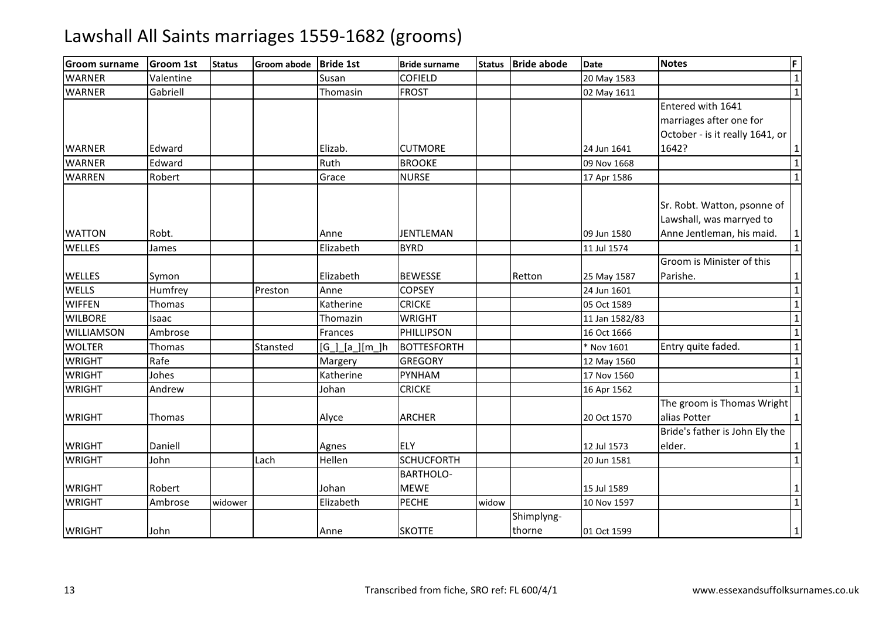| <b>Groom surname</b> | <b>Groom 1st</b> | <b>Status</b> | Groom abode | <b>Bride 1st</b>   | <b>Bride surname</b> | <b>Status</b> | <b>Bride abode</b> | <b>Date</b>    | <b>Notes</b>                                                                         | F              |
|----------------------|------------------|---------------|-------------|--------------------|----------------------|---------------|--------------------|----------------|--------------------------------------------------------------------------------------|----------------|
| <b>WARNER</b>        | Valentine        |               |             | Susan              | <b>COFIELD</b>       |               |                    | 20 May 1583    |                                                                                      | $1\vert$       |
| <b>WARNER</b>        | Gabriell         |               |             | Thomasin           | <b>FROST</b>         |               |                    | 02 May 1611    |                                                                                      | $\overline{1}$ |
|                      |                  |               |             |                    |                      |               |                    |                | Entered with 1641                                                                    |                |
|                      |                  |               |             |                    |                      |               |                    |                | marriages after one for                                                              |                |
|                      |                  |               |             |                    |                      |               |                    |                | October - is it really 1641, or                                                      |                |
| <b>WARNER</b>        | Edward           |               |             | Elizab.            | <b>CUTMORE</b>       |               |                    | 24 Jun 1641    | 1642?                                                                                | $\mathbf{1}$   |
| <b>WARNER</b>        | Edward           |               |             | Ruth               | <b>BROOKE</b>        |               |                    | 09 Nov 1668    |                                                                                      | $\overline{1}$ |
| <b>WARREN</b>        | Robert           |               |             | Grace              | <b>NURSE</b>         |               |                    | 17 Apr 1586    |                                                                                      | $\mathbf{1}$   |
| <b>WATTON</b>        | Robt.            |               |             | Anne               | <b>JENTLEMAN</b>     |               |                    | 09 Jun 1580    | Sr. Robt. Watton, psonne of<br>Lawshall, was marryed to<br>Anne Jentleman, his maid. | $1\vert$       |
| <b>WELLES</b>        | James            |               |             | Elizabeth          | <b>BYRD</b>          |               |                    | 11 Jul 1574    |                                                                                      | $1\vert$       |
|                      |                  |               |             |                    |                      |               |                    |                | Groom is Minister of this                                                            |                |
| <b>WELLES</b>        | Symon            |               |             | Elizabeth          | <b>BEWESSE</b>       |               | Retton             | 25 May 1587    | Parishe.                                                                             | $\mathbf{1}$   |
| <b>WELLS</b>         | Humfrey          |               | Preston     | Anne               | <b>COPSEY</b>        |               |                    | 24 Jun 1601    |                                                                                      | $1\vert$       |
| <b>WIFFEN</b>        | Thomas           |               |             | Katherine          | <b>CRICKE</b>        |               |                    | 05 Oct 1589    |                                                                                      | $\mathbf 1$    |
| <b>WILBORE</b>       | Isaac            |               |             | Thomazin           | <b>WRIGHT</b>        |               |                    | 11 Jan 1582/83 |                                                                                      | $\overline{1}$ |
| WILLIAMSON           | Ambrose          |               |             | Frances            | PHILLIPSON           |               |                    | 16 Oct 1666    |                                                                                      | $\mathbf 1$    |
| <b>WOLTER</b>        | Thomas           |               | Stansted    | $[G_.][a_.][m_.]h$ | <b>BOTTESFORTH</b>   |               |                    | * Nov 1601     | Entry quite faded.                                                                   | $\mathbf 1$    |
| <b>WRIGHT</b>        | Rafe             |               |             | Margery            | <b>GREGORY</b>       |               |                    | 12 May 1560    |                                                                                      | $\mathbf{1}$   |
| <b>WRIGHT</b>        | Johes            |               |             | Katherine          | PYNHAM               |               |                    | 17 Nov 1560    |                                                                                      | $\mathbf 1$    |
| <b>WRIGHT</b>        | Andrew           |               |             | Johan              | <b>CRICKE</b>        |               |                    | 16 Apr 1562    |                                                                                      | $1\vert$       |
| <b>WRIGHT</b>        | <b>Thomas</b>    |               |             | Alyce              | <b>ARCHER</b>        |               |                    | 20 Oct 1570    | The groom is Thomas Wright<br>alias Potter                                           | $\mathbf{1}$   |
| <b>WRIGHT</b>        | Daniell          |               |             | Agnes              | <b>ELY</b>           |               |                    | 12 Jul 1573    | Bride's father is John Ely the<br>elder.                                             | $\mathbf{1}$   |
| <b>WRIGHT</b>        | John             |               | Lach        | Hellen             | <b>SCHUCFORTH</b>    |               |                    | 20 Jun 1581    |                                                                                      | $\mathbf{1}$   |
|                      |                  |               |             |                    | <b>BARTHOLO-</b>     |               |                    |                |                                                                                      |                |
| <b>WRIGHT</b>        | Robert           |               |             | Johan              | <b>MEWE</b>          |               |                    | 15 Jul 1589    |                                                                                      | $\mathbf{1}$   |
| <b>WRIGHT</b>        | Ambrose          | widower       |             | Elizabeth          | <b>PECHE</b>         | widow         |                    | 10 Nov 1597    |                                                                                      | $\mathbf 1$    |
|                      |                  |               |             |                    |                      |               | Shimplyng-         |                |                                                                                      |                |
| <b>WRIGHT</b>        | John             |               |             | Anne               | <b>SKOTTE</b>        |               | thorne             | 01 Oct 1599    |                                                                                      | $1\vert$       |